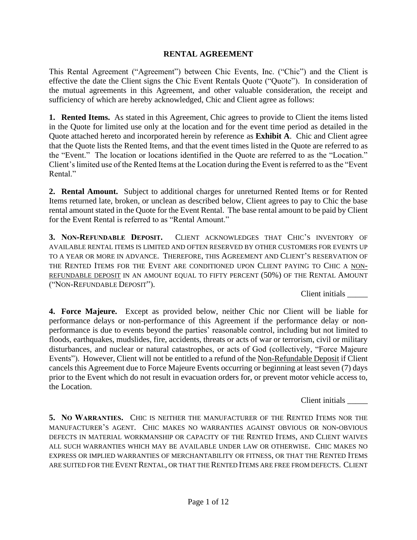#### **RENTAL AGREEMENT**

This Rental Agreement ("Agreement") between Chic Events, Inc. ("Chic") and the Client is effective the date the Client signs the Chic Event Rentals Quote ("Quote"). In consideration of the mutual agreements in this Agreement, and other valuable consideration, the receipt and sufficiency of which are hereby acknowledged, Chic and Client agree as follows:

**1. Rented Items.** As stated in this Agreement, Chic agrees to provide to Client the items listed in the Quote for limited use only at the location and for the event time period as detailed in the Quote attached hereto and incorporated herein by reference as **Exhibit A**. Chic and Client agree that the Quote lists the Rented Items, and that the event times listed in the Quote are referred to as the "Event." The location or locations identified in the Quote are referred to as the "Location." Client's limited use of the Rented Items at the Location during the Event is referred to as the "Event Rental."

**2. Rental Amount.** Subject to additional charges for unreturned Rented Items or for Rented Items returned late, broken, or unclean as described below, Client agrees to pay to Chic the base rental amount stated in the Quote for the Event Rental. The base rental amount to be paid by Client for the Event Rental is referred to as "Rental Amount."

**3. NON-REFUNDABLE DEPOSIT.** CLIENT ACKNOWLEDGES THAT CHIC'S INVENTORY OF AVAILABLE RENTAL ITEMS IS LIMITED AND OFTEN RESERVED BY OTHER CUSTOMERS FOR EVENTS UP TO A YEAR OR MORE IN ADVANCE. THEREFORE, THIS AGREEMENT AND CLIENT'S RESERVATION OF THE RENTED ITEMS FOR THE EVENT ARE CONDITIONED UPON CLIENT PAYING TO CHIC A NON-REFUNDABLE DEPOSIT IN AN AMOUNT EQUAL TO FIFTY PERCENT (50%) OF THE RENTAL AMOUNT ("NON-REFUNDABLE DEPOSIT").

Client initials \_\_\_\_\_

**4. Force Majeure.** Except as provided below, neither Chic nor Client will be liable for performance delays or non-performance of this Agreement if the performance delay or nonperformance is due to events beyond the parties' reasonable control, including but not limited to floods, earthquakes, mudslides, fire, accidents, threats or acts of war or terrorism, civil or military disturbances, and nuclear or natural catastrophes, or acts of God (collectively, "Force Majeure Events"). However, Client will not be entitled to a refund of the Non-Refundable Deposit if Client cancels this Agreement due to Force Majeure Events occurring or beginning at least seven (7) days prior to the Event which do not result in evacuation orders for, or prevent motor vehicle access to, the Location.

Client initials \_\_\_\_\_

**5. NO WARRANTIES.** CHIC IS NEITHER THE MANUFACTURER OF THE RENTED ITEMS NOR THE MANUFACTURER'S AGENT. CHIC MAKES NO WARRANTIES AGAINST OBVIOUS OR NON-OBVIOUS DEFECTS IN MATERIAL WORKMANSHIP OR CAPACITY OF THE RENTED ITEMS, AND CLIENT WAIVES ALL SUCH WARRANTIES WHICH MAY BE AVAILABLE UNDER LAW OR OTHERWISE. CHIC MAKES NO EXPRESS OR IMPLIED WARRANTIES OF MERCHANTABILITY OR FITNESS, OR THAT THE RENTED ITEMS ARE SUITED FOR THE EVENT RENTAL, OR THAT THE RENTED ITEMS ARE FREE FROM DEFECTS. CLIENT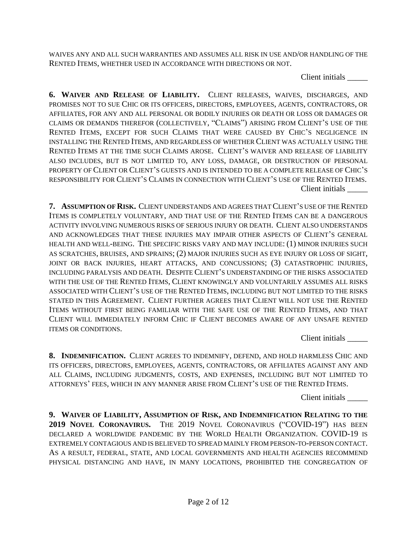WAIVES ANY AND ALL SUCH WARRANTIES AND ASSUMES ALL RISK IN USE AND/OR HANDLING OF THE RENTED ITEMS, WHETHER USED IN ACCORDANCE WITH DIRECTIONS OR NOT.

Client initials \_\_\_\_\_

**6. WAIVER AND RELEASE OF LIABILITY.** CLIENT RELEASES, WAIVES, DISCHARGES, AND PROMISES NOT TO SUE CHIC OR ITS OFFICERS, DIRECTORS, EMPLOYEES, AGENTS, CONTRACTORS, OR AFFILIATES, FOR ANY AND ALL PERSONAL OR BODILY INJURIES OR DEATH OR LOSS OR DAMAGES OR CLAIMS OR DEMANDS THEREFOR (COLLECTIVELY, "CLAIMS") ARISING FROM CLIENT'S USE OF THE RENTED ITEMS, EXCEPT FOR SUCH CLAIMS THAT WERE CAUSED BY CHIC'S NEGLIGENCE IN INSTALLING THE RENTED ITEMS, AND REGARDLESS OF WHETHER CLIENT WAS ACTUALLY USING THE RENTED ITEMS AT THE TIME SUCH CLAIMS AROSE. CLIENT'S WAIVER AND RELEASE OF LIABILITY ALSO INCLUDES, BUT IS NOT LIMITED TO, ANY LOSS, DAMAGE, OR DESTRUCTION OF PERSONAL PROPERTY OF CLIENT OR CLIENT'S GUESTS AND IS INTENDED TO BE A COMPLETE RELEASE OF CHIC'S RESPONSIBILITY FOR CLIENT'S CLAIMS IN CONNECTION WITH CLIENT'S USE OF THE RENTED ITEMS. Client initials \_\_\_\_\_

**7. ASSUMPTION OF RISK.** CLIENT UNDERSTANDS AND AGREES THAT CLIENT'S USE OF THE RENTED ITEMS IS COMPLETELY VOLUNTARY, AND THAT USE OF THE RENTED ITEMS CAN BE A DANGEROUS ACTIVITY INVOLVING NUMEROUS RISKS OF SERIOUS INJURY OR DEATH. CLIENT ALSO UNDERSTANDS AND ACKNOWLEDGES THAT THESE INJURIES MAY IMPAIR OTHER ASPECTS OF CLIENT'S GENERAL HEALTH AND WELL-BEING. THE SPECIFIC RISKS VARY AND MAY INCLUDE: (1) MINOR INJURIES SUCH AS SCRATCHES, BRUISES, AND SPRAINS; (2) MAJOR INJURIES SUCH AS EYE INJURY OR LOSS OF SIGHT, JOINT OR BACK INJURIES, HEART ATTACKS, AND CONCUSSIONS; (3) CATASTROPHIC INJURIES, INCLUDING PARALYSIS AND DEATH. DESPITE CLIENT'S UNDERSTANDING OF THE RISKS ASSOCIATED WITH THE USE OF THE RENTED ITEMS, CLIENT KNOWINGLY AND VOLUNTARILY ASSUMES ALL RISKS ASSOCIATED WITH CLIENT'S USE OF THE RENTED ITEMS, INCLUDING BUT NOT LIMITED TO THE RISKS STATED IN THIS AGREEMENT. CLIENT FURTHER AGREES THAT CLIENT WILL NOT USE THE RENTED ITEMS WITHOUT FIRST BEING FAMILIAR WITH THE SAFE USE OF THE RENTED ITEMS, AND THAT CLIENT WILL IMMEDIATELY INFORM CHIC IF CLIENT BECOMES AWARE OF ANY UNSAFE RENTED ITEMS OR CONDITIONS.

Client initials \_\_\_\_\_

**8. INDEMNIFICATION.** CLIENT AGREES TO INDEMNIFY, DEFEND, AND HOLD HARMLESS CHIC AND ITS OFFICERS, DIRECTORS, EMPLOYEES, AGENTS, CONTRACTORS, OR AFFILIATES AGAINST ANY AND ALL CLAIMS, INCLUDING JUDGMENTS, COSTS, AND EXPENSES, INCLUDING BUT NOT LIMITED TO ATTORNEYS' FEES, WHICH IN ANY MANNER ARISE FROM CLIENT'S USE OF THE RENTED ITEMS.

Client initials \_\_\_\_\_

**9. WAIVER OF LIABILITY, ASSUMPTION OF RISK, AND INDEMNIFICATION RELATING TO THE 2019 NOVEL CORONAVIRUS.** THE 2019 NOVEL CORONAVIRUS ("COVID-19") HAS BEEN DECLARED A WORLDWIDE PANDEMIC BY THE WORLD HEALTH ORGANIZATION. COVID-19 IS EXTREMELY CONTAGIOUS AND IS BELIEVED TO SPREAD MAINLY FROM PERSON-TO-PERSON CONTACT. AS A RESULT, FEDERAL, STATE, AND LOCAL GOVERNMENTS AND HEALTH AGENCIES RECOMMEND PHYSICAL DISTANCING AND HAVE, IN MANY LOCATIONS, PROHIBITED THE CONGREGATION OF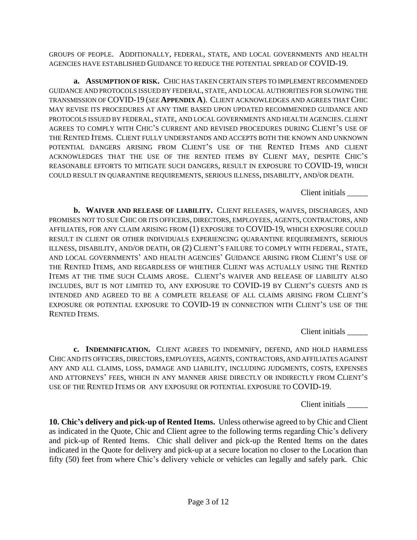GROUPS OF PEOPLE. ADDITIONALLY, FEDERAL, STATE, AND LOCAL GOVERNMENTS AND HEALTH AGENCIES HAVE ESTABLISHED GUIDANCE TO REDUCE THE POTENTIAL SPREAD OF COVID-19.

**a. ASSUMPTION OF RISK.** CHIC HAS TAKEN CERTAIN STEPS TO IMPLEMENT RECOMMENDED GUIDANCE AND PROTOCOLS ISSUED BY FEDERAL, STATE, AND LOCAL AUTHORITIES FOR SLOWING THE TRANSMISSION OF COVID-19 (*SEE* **APPENDIX A**). CLIENT ACKNOWLEDGES AND AGREES THAT CHIC MAY REVISE ITS PROCEDURES AT ANY TIME BASED UPON UPDATED RECOMMENDED GUIDANCE AND PROTOCOLS ISSUED BY FEDERAL, STATE, AND LOCAL GOVERNMENTS AND HEALTH AGENCIES. CLIENT AGREES TO COMPLY WITH CHIC'S CURRENT AND REVISED PROCEDURES DURING CLIENT'S USE OF THE RENTED ITEMS. CLIENT FULLY UNDERSTANDS AND ACCEPTS BOTH THE KNOWN AND UNKNOWN POTENTIAL DANGERS ARISING FROM CLIENT'S USE OF THE RENTED ITEMS AND CLIENT ACKNOWLEDGES THAT THE USE OF THE RENTED ITEMS BY CLIENT MAY, DESPITE CHIC'S REASONABLE EFFORTS TO MITIGATE SUCH DANGERS, RESULT IN EXPOSURE TO COVID-19, WHICH COULD RESULT IN QUARANTINE REQUIREMENTS, SERIOUS ILLNESS, DISABILITY, AND/OR DEATH.

Client initials \_\_\_\_\_

**b. WAIVER AND RELEASE OF LIABILITY.** CLIENT RELEASES, WAIVES, DISCHARGES, AND PROMISES NOT TO SUE CHIC OR ITS OFFICERS, DIRECTORS, EMPLOYEES, AGENTS, CONTRACTORS, AND AFFILIATES, FOR ANY CLAIM ARISING FROM (1) EXPOSURE TO COVID-19, WHICH EXPOSURE COULD RESULT IN CLIENT OR OTHER INDIVIDUALS EXPERIENCING QUARANTINE REQUIREMENTS, SERIOUS ILLNESS, DISABILITY, AND/OR DEATH, OR (2) CLIENT'S FAILURE TO COMPLY WITH FEDERAL, STATE, AND LOCAL GOVERNMENTS' AND HEALTH AGENCIES' GUIDANCE ARISING FROM CLIENT'S USE OF THE RENTED ITEMS, AND REGARDLESS OF WHETHER CLIENT WAS ACTUALLY USING THE RENTED ITEMS AT THE TIME SUCH CLAIMS AROSE. CLIENT'S WAIVER AND RELEASE OF LIABILITY ALSO INCLUDES, BUT IS NOT LIMITED TO, ANY EXPOSURE TO COVID-19 BY CLIENT'S GUESTS AND IS INTENDED AND AGREED TO BE A COMPLETE RELEASE OF ALL CLAIMS ARISING FROM CLIENT'S EXPOSURE OR POTENTIAL EXPOSURE TO COVID-19 IN CONNECTION WITH CLIENT'S USE OF THE RENTED ITEMS.

Client initials \_\_\_\_\_

**c. INDEMNIFICATION.** CLIENT AGREES TO INDEMNIFY, DEFEND, AND HOLD HARMLESS CHIC AND ITS OFFICERS, DIRECTORS, EMPLOYEES, AGENTS, CONTRACTORS, AND AFFILIATES AGAINST ANY AND ALL CLAIMS, LOSS, DAMAGE AND LIABILITY, INCLUDING JUDGMENTS, COSTS, EXPENSES AND ATTORNEYS' FEES, WHICH IN ANY MANNER ARISE DIRECTLY OR INDIRECTLY FROM CLIENT'S USE OF THE RENTED ITEMS OR ANY EXPOSURE OR POTENTIAL EXPOSURE TO COVID-19.

Client initials \_\_\_\_\_

**10. Chic's delivery and pick-up of Rented Items.** Unless otherwise agreed to by Chic and Client as indicated in the Quote, Chic and Client agree to the following terms regarding Chic's delivery and pick-up of Rented Items. Chic shall deliver and pick-up the Rented Items on the dates indicated in the Quote for delivery and pick-up at a secure location no closer to the Location than fifty (50) feet from where Chic's delivery vehicle or vehicles can legally and safely park. Chic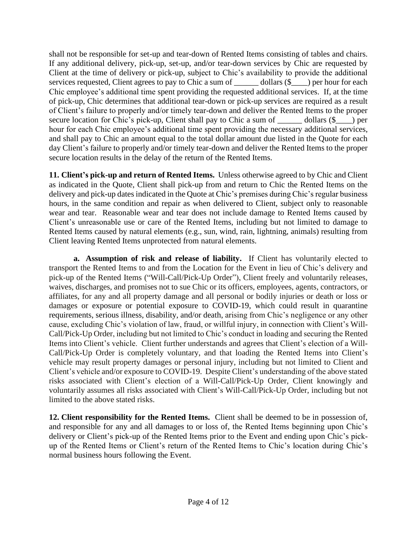shall not be responsible for set-up and tear-down of Rented Items consisting of tables and chairs. If any additional delivery, pick-up, set-up, and/or tear-down services by Chic are requested by Client at the time of delivery or pick-up, subject to Chic's availability to provide the additional services requested, Client agrees to pay to Chic a sum of \_\_\_\_\_\_\_\_ dollars  $(\frac{6}{2})$  per hour for each Chic employee's additional time spent providing the requested additional services. If, at the time of pick-up, Chic determines that additional tear-down or pick-up services are required as a result of Client's failure to properly and/or timely tear-down and deliver the Rented Items to the proper secure location for Chic's pick-up, Client shall pay to Chic a sum of \_\_\_\_\_\_\_ dollars (\$\_\_\_) per hour for each Chic employee's additional time spent providing the necessary additional services, and shall pay to Chic an amount equal to the total dollar amount due listed in the Quote for each day Client's failure to properly and/or timely tear-down and deliver the Rented Items to the proper secure location results in the delay of the return of the Rented Items.

**11. Client's pick-up and return of Rented Items.** Unless otherwise agreed to by Chic and Client as indicated in the Quote, Client shall pick-up from and return to Chic the Rented Items on the delivery and pick-up dates indicated in the Quote at Chic's premises during Chic's regular business hours, in the same condition and repair as when delivered to Client, subject only to reasonable wear and tear. Reasonable wear and tear does not include damage to Rented Items caused by Client's unreasonable use or care of the Rented Items, including but not limited to damage to Rented Items caused by natural elements (e.g., sun, wind, rain, lightning, animals) resulting from Client leaving Rented Items unprotected from natural elements.

**a. Assumption of risk and release of liability.** If Client has voluntarily elected to transport the Rented Items to and from the Location for the Event in lieu of Chic's delivery and pick-up of the Rented Items ("Will-Call/Pick-Up Order"), Client freely and voluntarily releases, waives, discharges, and promises not to sue Chic or its officers, employees, agents, contractors, or affiliates, for any and all property damage and all personal or bodily injuries or death or loss or damages or exposure or potential exposure to COVID-19, which could result in quarantine requirements, serious illness, disability, and/or death, arising from Chic's negligence or any other cause, excluding Chic's violation of law, fraud, or willful injury, in connection with Client's Will-Call/Pick-Up Order, including but not limited to Chic's conduct in loading and securing the Rented Items into Client's vehicle. Client further understands and agrees that Client's election of a Will-Call/Pick-Up Order is completely voluntary, and that loading the Rented Items into Client's vehicle may result property damages or personal injury, including but not limited to Client and Client's vehicle and/or exposure to COVID-19. Despite Client's understanding of the above stated risks associated with Client's election of a Will-Call/Pick-Up Order, Client knowingly and voluntarily assumes all risks associated with Client's Will-Call/Pick-Up Order, including but not limited to the above stated risks.

**12. Client responsibility for the Rented Items.** Client shall be deemed to be in possession of, and responsible for any and all damages to or loss of, the Rented Items beginning upon Chic's delivery or Client's pick-up of the Rented Items prior to the Event and ending upon Chic's pickup of the Rented Items or Client's return of the Rented Items to Chic's location during Chic's normal business hours following the Event.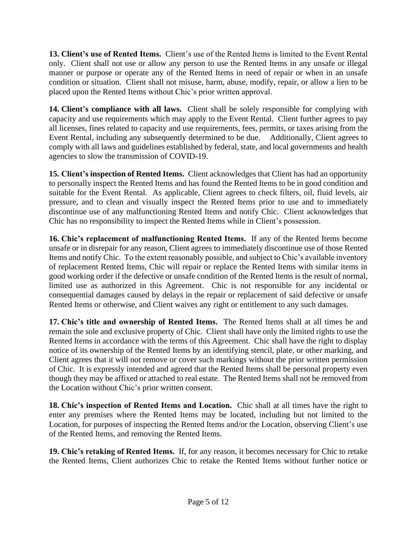**13. Client's use of Rented Items.** Client's use of the Rented Items is limited to the Event Rental only. Client shall not use or allow any person to use the Rented Items in any unsafe or illegal manner or purpose or operate any of the Rented Items in need of repair or when in an unsafe condition or situation. Client shall not misuse, harm, abuse, modify, repair, or allow a lien to be placed upon the Rented Items without Chic's prior written approval.

**14. Client's compliance with all laws.** Client shall be solely responsible for complying with capacity and use requirements which may apply to the Event Rental. Client further agrees to pay all licenses, fines related to capacity and use requirements, fees, permits, or taxes arising from the Event Rental, including any subsequently determined to be due. Additionally, Client agrees to comply with all laws and guidelines established by federal, state, and local governments and health agencies to slow the transmission of COVID-19.

**15. Client's inspection of Rented Items.** Client acknowledges that Client has had an opportunity to personally inspect the Rented Items and has found the Rented Items to be in good condition and suitable for the Event Rental. As applicable, Client agrees to check filters, oil, fluid levels, air pressure, and to clean and visually inspect the Rented Items prior to use and to immediately discontinue use of any malfunctioning Rented Items and notify Chic. Client acknowledges that Chic has no responsibility to inspect the Rented Items while in Client's possession.

**16. Chic's replacement of malfunctioning Rented Items.** If any of the Rented Items become unsafe or in disrepair for any reason, Client agrees to immediately discontinue use of those Rented Items and notify Chic. To the extent reasonably possible, and subject to Chic's available inventory of replacement Rented Items, Chic will repair or replace the Rented Items with similar items in good working order if the defective or unsafe condition of the Rented Items is the result of normal, limited use as authorized in this Agreement. Chic is not responsible for any incidental or consequential damages caused by delays in the repair or replacement of said defective or unsafe Rented Items or otherwise, and Client waives any right or entitlement to any such damages.

**17. Chic's title and ownership of Rented Items.** The Rented Items shall at all times be and remain the sole and exclusive property of Chic. Client shall have only the limited rights to use the Rented Items in accordance with the terms of this Agreement. Chic shall have the right to display notice of its ownership of the Rented Items by an identifying stencil, plate, or other marking, and Client agrees that it will not remove or cover such markings without the prior written permission of Chic. It is expressly intended and agreed that the Rented Items shall be personal property even though they may be affixed or attached to real estate. The Rented Items shall not be removed from the Location without Chic's prior written consent.

**18. Chic's inspection of Rented Items and Location.** Chic shall at all times have the right to enter any premises where the Rented Items may be located, including but not limited to the Location, for purposes of inspecting the Rented Items and/or the Location, observing Client's use of the Rented Items, and removing the Rented Items.

**19. Chic's retaking of Rented Items.** If, for any reason, it becomes necessary for Chic to retake the Rented Items, Client authorizes Chic to retake the Rented Items without further notice or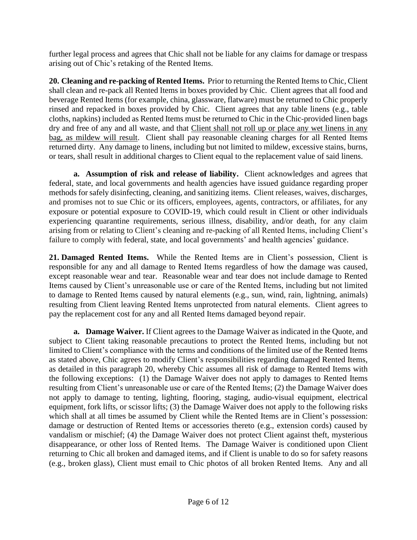further legal process and agrees that Chic shall not be liable for any claims for damage or trespass arising out of Chic's retaking of the Rented Items.

**20. Cleaning and re-packing of Rented Items.** Prior to returning the Rented Items to Chic, Client shall clean and re-pack all Rented Items in boxes provided by Chic. Client agrees that all food and beverage Rented Items (for example, china, glassware, flatware) must be returned to Chic properly rinsed and repacked in boxes provided by Chic. Client agrees that any table linens (e.g., table cloths, napkins) included as Rented Items must be returned to Chic in the Chic-provided linen bags dry and free of any and all waste, and that Client shall not roll up or place any wet linens in any bag, as mildew will result. Client shall pay reasonable cleaning charges for all Rented Items returned dirty. Any damage to linens, including but not limited to mildew, excessive stains, burns, or tears, shall result in additional charges to Client equal to the replacement value of said linens.

**a. Assumption of risk and release of liability.** Client acknowledges and agrees that federal, state, and local governments and health agencies have issued guidance regarding proper methods for safely disinfecting, cleaning, and sanitizing items. Client releases, waives, discharges, and promises not to sue Chic or its officers, employees, agents, contractors, or affiliates, for any exposure or potential exposure to COVID-19, which could result in Client or other individuals experiencing quarantine requirements, serious illness, disability, and/or death, for any claim arising from or relating to Client's cleaning and re-packing of all Rented Items, including Client's failure to comply with federal, state, and local governments' and health agencies' guidance.

**21. Damaged Rented Items.** While the Rented Items are in Client's possession, Client is responsible for any and all damage to Rented Items regardless of how the damage was caused, except reasonable wear and tear. Reasonable wear and tear does not include damage to Rented Items caused by Client's unreasonable use or care of the Rented Items, including but not limited to damage to Rented Items caused by natural elements (e.g., sun, wind, rain, lightning, animals) resulting from Client leaving Rented Items unprotected from natural elements. Client agrees to pay the replacement cost for any and all Rented Items damaged beyond repair.

**a. Damage Waiver.** If Client agrees to the Damage Waiver as indicated in the Quote, and subject to Client taking reasonable precautions to protect the Rented Items, including but not limited to Client's compliance with the terms and conditions of the limited use of the Rented Items as stated above, Chic agrees to modify Client's responsibilities regarding damaged Rented Items, as detailed in this paragraph 20, whereby Chic assumes all risk of damage to Rented Items with the following exceptions: (1) the Damage Waiver does not apply to damages to Rented Items resulting from Client's unreasonable use or care of the Rented Items; (2) the Damage Waiver does not apply to damage to tenting, lighting, flooring, staging, audio-visual equipment, electrical equipment, fork lifts, or scissor lifts; (3) the Damage Waiver does not apply to the following risks which shall at all times be assumed by Client while the Rented Items are in Client's possession: damage or destruction of Rented Items or accessories thereto (e.g., extension cords) caused by vandalism or mischief; (4) the Damage Waiver does not protect Client against theft, mysterious disappearance, or other loss of Rented Items. The Damage Waiver is conditioned upon Client returning to Chic all broken and damaged items, and if Client is unable to do so for safety reasons (e.g., broken glass), Client must email to Chic photos of all broken Rented Items. Any and all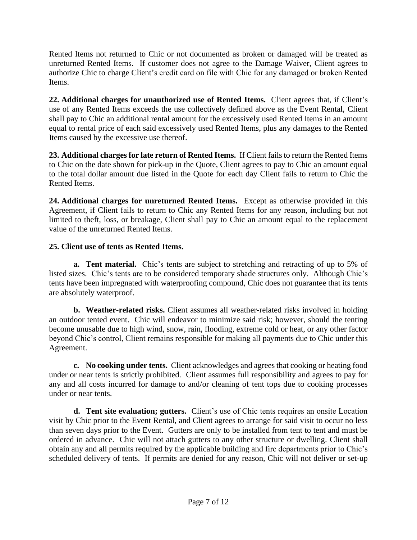Rented Items not returned to Chic or not documented as broken or damaged will be treated as unreturned Rented Items. If customer does not agree to the Damage Waiver, Client agrees to authorize Chic to charge Client's credit card on file with Chic for any damaged or broken Rented Items.

**22. Additional charges for unauthorized use of Rented Items.** Client agrees that, if Client's use of any Rented Items exceeds the use collectively defined above as the Event Rental, Client shall pay to Chic an additional rental amount for the excessively used Rented Items in an amount equal to rental price of each said excessively used Rented Items, plus any damages to the Rented Items caused by the excessive use thereof.

**23. Additional charges for late return of Rented Items.** If Client fails to return the Rented Items to Chic on the date shown for pick-up in the Quote, Client agrees to pay to Chic an amount equal to the total dollar amount due listed in the Quote for each day Client fails to return to Chic the Rented Items.

**24. Additional charges for unreturned Rented Items.** Except as otherwise provided in this Agreement, if Client fails to return to Chic any Rented Items for any reason, including but not limited to theft, loss, or breakage, Client shall pay to Chic an amount equal to the replacement value of the unreturned Rented Items.

# **25. Client use of tents as Rented Items.**

**a. Tent material.** Chic's tents are subject to stretching and retracting of up to 5% of listed sizes. Chic's tents are to be considered temporary shade structures only. Although Chic's tents have been impregnated with waterproofing compound, Chic does not guarantee that its tents are absolutely waterproof.

**b. Weather-related risks.** Client assumes all weather-related risks involved in holding an outdoor tented event. Chic will endeavor to minimize said risk; however, should the tenting become unusable due to high wind, snow, rain, flooding, extreme cold or heat, or any other factor beyond Chic's control, Client remains responsible for making all payments due to Chic under this Agreement.

**c. No cooking under tents.** Client acknowledges and agrees that cooking or heating food under or near tents is strictly prohibited. Client assumes full responsibility and agrees to pay for any and all costs incurred for damage to and/or cleaning of tent tops due to cooking processes under or near tents.

**d. Tent site evaluation; gutters.** Client's use of Chic tents requires an onsite Location visit by Chic prior to the Event Rental, and Client agrees to arrange for said visit to occur no less than seven days prior to the Event. Gutters are only to be installed from tent to tent and must be ordered in advance. Chic will not attach gutters to any other structure or dwelling. Client shall obtain any and all permits required by the applicable building and fire departments prior to Chic's scheduled delivery of tents. If permits are denied for any reason, Chic will not deliver or set-up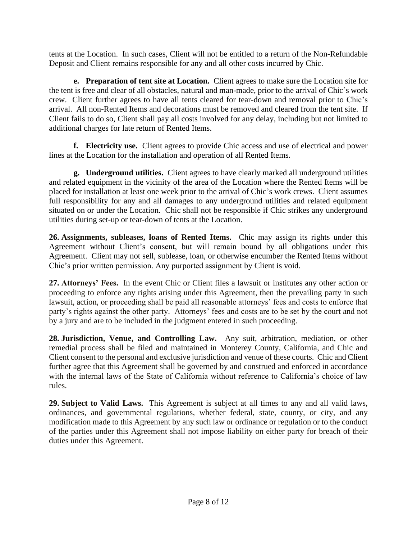tents at the Location. In such cases, Client will not be entitled to a return of the Non-Refundable Deposit and Client remains responsible for any and all other costs incurred by Chic.

**e. Preparation of tent site at Location.** Client agrees to make sure the Location site for the tent is free and clear of all obstacles, natural and man-made, prior to the arrival of Chic's work crew. Client further agrees to have all tents cleared for tear-down and removal prior to Chic's arrival. All non-Rented Items and decorations must be removed and cleared from the tent site. If Client fails to do so, Client shall pay all costs involved for any delay, including but not limited to additional charges for late return of Rented Items.

**f. Electricity use.** Client agrees to provide Chic access and use of electrical and power lines at the Location for the installation and operation of all Rented Items.

**g. Underground utilities.** Client agrees to have clearly marked all underground utilities and related equipment in the vicinity of the area of the Location where the Rented Items will be placed for installation at least one week prior to the arrival of Chic's work crews. Client assumes full responsibility for any and all damages to any underground utilities and related equipment situated on or under the Location. Chic shall not be responsible if Chic strikes any underground utilities during set-up or tear-down of tents at the Location.

**26. Assignments, subleases, loans of Rented Items.** Chic may assign its rights under this Agreement without Client's consent, but will remain bound by all obligations under this Agreement. Client may not sell, sublease, loan, or otherwise encumber the Rented Items without Chic's prior written permission. Any purported assignment by Client is void.

**27. Attorneys' Fees.** In the event Chic or Client files a lawsuit or institutes any other action or proceeding to enforce any rights arising under this Agreement, then the prevailing party in such lawsuit, action, or proceeding shall be paid all reasonable attorneys' fees and costs to enforce that party's rights against the other party. Attorneys' fees and costs are to be set by the court and not by a jury and are to be included in the judgment entered in such proceeding.

**28. Jurisdiction, Venue, and Controlling Law.** Any suit, arbitration, mediation, or other remedial process shall be filed and maintained in Monterey County, California, and Chic and Client consent to the personal and exclusive jurisdiction and venue of these courts. Chic and Client further agree that this Agreement shall be governed by and construed and enforced in accordance with the internal laws of the State of California without reference to California's choice of law rules.

**29. Subject to Valid Laws.** This Agreement is subject at all times to any and all valid laws, ordinances, and governmental regulations, whether federal, state, county, or city, and any modification made to this Agreement by any such law or ordinance or regulation or to the conduct of the parties under this Agreement shall not impose liability on either party for breach of their duties under this Agreement.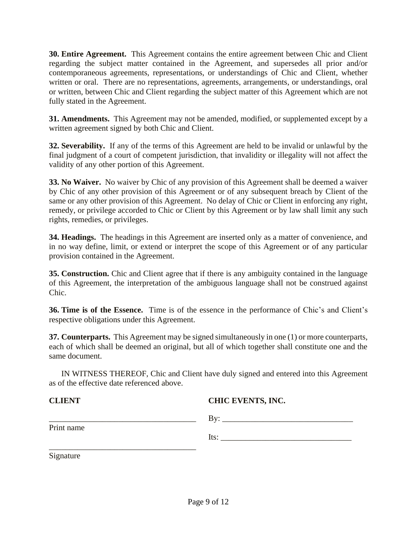**30. Entire Agreement.** This Agreement contains the entire agreement between Chic and Client regarding the subject matter contained in the Agreement, and supersedes all prior and/or contemporaneous agreements, representations, or understandings of Chic and Client, whether written or oral. There are no representations, agreements, arrangements, or understandings, oral or written, between Chic and Client regarding the subject matter of this Agreement which are not fully stated in the Agreement.

**31. Amendments.** This Agreement may not be amended, modified, or supplemented except by a written agreement signed by both Chic and Client.

**32. Severability.** If any of the terms of this Agreement are held to be invalid or unlawful by the final judgment of a court of competent jurisdiction, that invalidity or illegality will not affect the validity of any other portion of this Agreement.

**33. No Waiver.** No waiver by Chic of any provision of this Agreement shall be deemed a waiver by Chic of any other provision of this Agreement or of any subsequent breach by Client of the same or any other provision of this Agreement. No delay of Chic or Client in enforcing any right, remedy, or privilege accorded to Chic or Client by this Agreement or by law shall limit any such rights, remedies, or privileges.

**34. Headings.** The headings in this Agreement are inserted only as a matter of convenience, and in no way define, limit, or extend or interpret the scope of this Agreement or of any particular provision contained in the Agreement.

**35. Construction.** Chic and Client agree that if there is any ambiguity contained in the language of this Agreement, the interpretation of the ambiguous language shall not be construed against Chic.

**36. Time is of the Essence.** Time is of the essence in the performance of Chic's and Client's respective obligations under this Agreement.

**37. Counterparts.** This Agreement may be signed simultaneously in one (1) or more counterparts, each of which shall be deemed an original, but all of which together shall constitute one and the same document.

IN WITNESS THEREOF, Chic and Client have duly signed and entered into this Agreement as of the effective date referenced above.

**CLIENT CHIC EVENTS, INC.**

|            | . . <del>.</del> .        |  |
|------------|---------------------------|--|
| Print name |                           |  |
|            | T+ <sub>c</sub> ۰<br>Ils. |  |

Signature

\_\_\_\_\_\_\_\_\_\_\_\_\_\_\_\_\_\_\_\_\_\_\_\_\_\_\_\_\_\_\_\_\_\_\_\_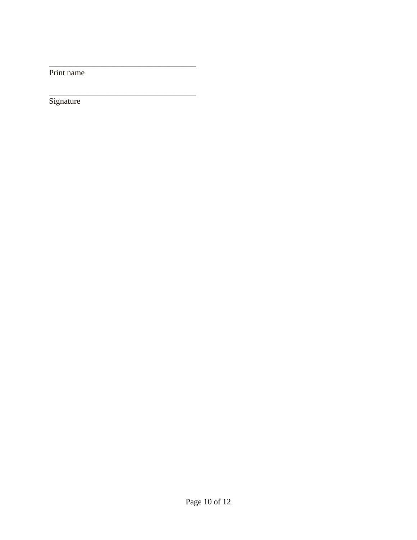Print name

Signature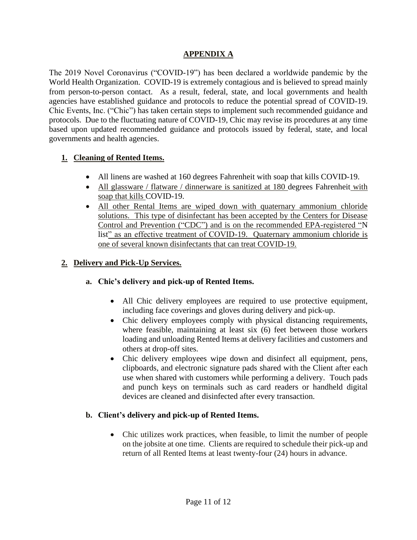### **APPENDIX A**

The 2019 Novel Coronavirus ("COVID-19") has been declared a worldwide pandemic by the World Health Organization. COVID-19 is extremely contagious and is believed to spread mainly from person-to-person contact. As a result, federal, state, and local governments and health agencies have established guidance and protocols to reduce the potential spread of COVID-19. Chic Events, Inc. ("Chic") has taken certain steps to implement such recommended guidance and protocols. Due to the fluctuating nature of COVID-19, Chic may revise its procedures at any time based upon updated recommended guidance and protocols issued by federal, state, and local governments and health agencies.

# **1. Cleaning of Rented Items.**

- All linens are washed at 160 degrees Fahrenheit with soap that kills COVID-19.
- All glassware / flatware / dinnerware is sanitized at 180 degrees Fahrenheit with soap that kills COVID-19.
- All other Rental Items are wiped down with quaternary ammonium chloride solutions. This type of disinfectant has been accepted by the Centers for Disease Control and Prevention ("CDC") and is on the recommended EPA-registered "N list" as an effective treatment of COVID-19. Quaternary ammonium chloride is one of several known disinfectants that can treat COVID-19.

# **2. Delivery and Pick-Up Services.**

#### **a. Chic's delivery and pick-up of Rented Items.**

- All Chic delivery employees are required to use protective equipment, including face coverings and gloves during delivery and pick-up.
- Chic delivery employees comply with physical distancing requirements, where feasible, maintaining at least six (6) feet between those workers loading and unloading Rented Items at delivery facilities and customers and others at drop-off sites.
- Chic delivery employees wipe down and disinfect all equipment, pens, clipboards, and electronic signature pads shared with the Client after each use when shared with customers while performing a delivery. Touch pads and punch keys on terminals such as card readers or handheld digital devices are cleaned and disinfected after every transaction.

#### **b. Client's delivery and pick-up of Rented Items.**

• Chic utilizes work practices, when feasible, to limit the number of people on the jobsite at one time. Clients are required to schedule their pick-up and return of all Rented Items at least twenty-four (24) hours in advance.